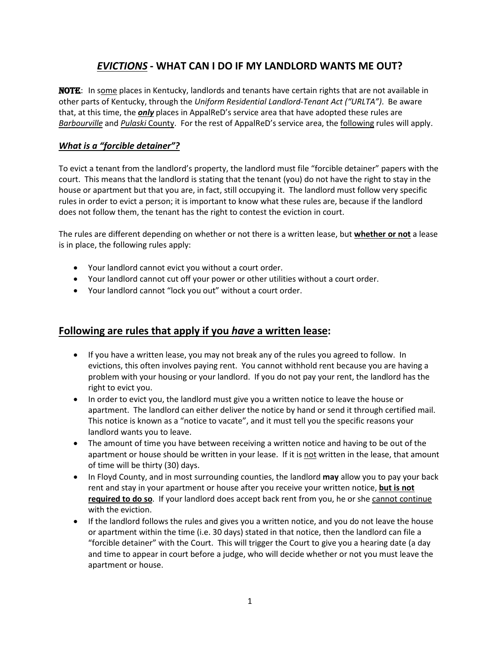# *EVICTIONS* **- WHAT CAN I DO IF MY LANDLORD WANTS ME OUT?**

NOTE: In some places in Kentucky, landlords and tenants have certain rights that are not available in other parts of Kentucky, through the *Uniform Residential Landlord-Tenant Act ("URLTA")*. Be aware that, at this time, the *only* places in AppalReD's service area that have adopted these rules are *Barbourville* and *Pulaski* County. For the rest of AppalReD's service area, the following rules will apply.

#### *What is a "forcible detainer"?*

To evict a tenant from the landlord's property, the landlord must file "forcible detainer" papers with the court. This means that the landlord is stating that the tenant (you) do not have the right to stay in the house or apartment but that you are, in fact, still occupying it. The landlord must follow very specific rules in order to evict a person; it is important to know what these rules are, because if the landlord does not follow them, the tenant has the right to contest the eviction in court.

The rules are different depending on whether or not there is a written lease, but **whether or not** a lease is in place, the following rules apply:

- Your landlord cannot evict you without a court order.
- Your landlord cannot cut off your power or other utilities without a court order.
- Your landlord cannot "lock you out" without a court order.

## **Following are rules that apply if you** *have* **a written lease:**

- If you have a written lease, you may not break any of the rules you agreed to follow. In evictions, this often involves paying rent. You cannot withhold rent because you are having a problem with your housing or your landlord. If you do not pay your rent, the landlord has the right to evict you.
- In order to evict you, the landlord must give you a written notice to leave the house or apartment. The landlord can either deliver the notice by hand or send it through certified mail. This notice is known as a "notice to vacate", and it must tell you the specific reasons your landlord wants you to leave.
- The amount of time you have between receiving a written notice and having to be out of the apartment or house should be written in your lease. If it is not written in the lease, that amount of time will be thirty (30) days.
- In Floyd County, and in most surrounding counties, the landlord **may** allow you to pay your back rent and stay in your apartment or house after you receive your written notice, **but is not required to do so**. If your landlord does accept back rent from you, he or she cannot continue with the eviction.
- If the landlord follows the rules and gives you a written notice, and you do not leave the house or apartment within the time (i.e. 30 days) stated in that notice, then the landlord can file a "forcible detainer" with the Court. This will trigger the Court to give you a hearing date (a day and time to appear in court before a judge, who will decide whether or not you must leave the apartment or house.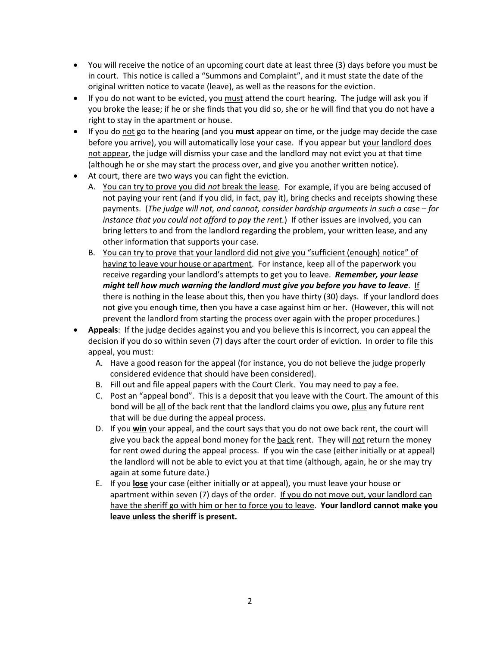- You will receive the notice of an upcoming court date at least three (3) days before you must be in court. This notice is called a "Summons and Complaint", and it must state the date of the original written notice to vacate (leave), as well as the reasons for the eviction.
- If you do not want to be evicted, you must attend the court hearing. The judge will ask you if you broke the lease; if he or she finds that you did so, she or he will find that you do not have a right to stay in the apartment or house.
- If you do not go to the hearing (and you must appear on time, or the judge may decide the case before you arrive), you will automatically lose your case. If you appear but your landlord does not appear, the judge will dismiss your case and the landlord may not evict you at that time (although he or she may start the process over, and give you another written notice).
- At court, there are two ways you can fight the eviction.
	- A. You can try to prove you did *not* break the lease . For example, if you are being accused of not paying your rent (and if you did, in fact, pay it), bring checks and receipts showing these payments. (*The judge will not, and cannot, consider hardship arguments in such a case – for instance that you could not afford to pay the rent.*) If other issues are involved, you can bring letters to and from the landlord regarding the problem, your written lease, and any other information that supports your case.
	- B. You can try to prove that your landlord did not give you "sufficient (enough) notice" of having to leave your house or apartment. For instance, keep all of the paperwork you receive regarding your landlord's attempts to get you to leave. *Remember, your lease might tell how much warning the landlord must give you before you have to leave*. If there is nothing in the lease about this, then you have thirty (30) days. If your landlord does not give you enough time, then you have a case against him or her. (However, this will not prevent the landlord from starting the process over again with the proper procedures.)
- **Appeals** : If the judge decides against you and you believe this is incorrect, you can appeal the decision if you do so within seven (7) days after the court order of eviction. In order to file this appeal, you must:
	- A. Have a good reason for the appeal (for instance, you do not believe the judge properly considered evidence that should have been considered).
	- B. Fill out and file appeal papers with the Court Clerk. You may need to pay a fee.
	- C. Post an "appeal bond". This is a deposit that you leave with the Court. The amount of this bond will be all of the back rent that the landlord claims you owe, plus any future rent that will be due during the appeal process.
	- D. If you **win** your appeal, and the court says that you do not owe back rent, the court will give you back the appeal bond money for the back rent. They will not return the money for rent owed during the appeal process. If you win the case (either initially or at appeal) the landlord will not be able to evict you at that time (although, again, he or she may try again at some future date.)
	- E. If you **lose** your case (either initially or at appeal), you must leave your house or apartment within seven (7) days of the order. If you do not move out, your landlord can have the sheriff go with him or her to force you to leave. **Your landlord cannot make you leave unless the sheriff is present.**